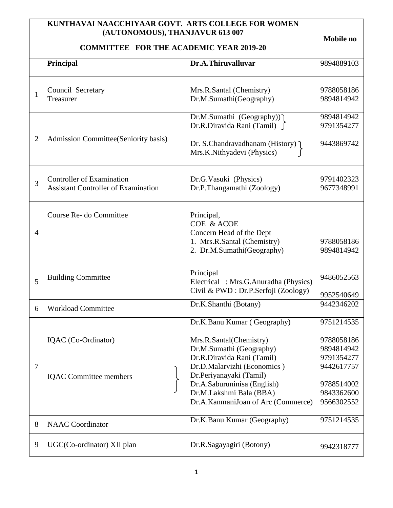|                | KUNTHAVAI NAACCHIYAAR GOVT. ARTS COLLEGE FOR WOMEN<br>(AUTONOMOUS), THANJAVUR 613 007 |                                                                                                                              | Mobile no                                            |
|----------------|---------------------------------------------------------------------------------------|------------------------------------------------------------------------------------------------------------------------------|------------------------------------------------------|
|                | <b>COMMITTEE FOR THE ACADEMIC YEAR 2019-20</b>                                        |                                                                                                                              |                                                      |
|                | Principal                                                                             | Dr.A.Thiruvalluvar                                                                                                           | 9894889103                                           |
| $\mathbf{1}$   | Council Secretary<br>Treasurer                                                        | Mrs.R.Santal (Chemistry)<br>Dr.M.Sumathi(Geography)                                                                          | 9788058186<br>9894814942                             |
| $\overline{2}$ | Admission Committee (Seniority basis)                                                 | Dr.M.Sumathi (Geography))]<br>Dr.R.Diravida Rani (Tamil)                                                                     | 9894814942<br>9791354277                             |
|                |                                                                                       | Dr. S.Chandravadhanam (History) ]<br>Mrs.K.Nithyadevi (Physics)                                                              | 9443869742                                           |
| 3              | <b>Controller of Examination</b><br><b>Assistant Controller of Examination</b>        | Dr.G.Vasuki (Physics)<br>Dr.P.Thangamathi (Zoology)                                                                          | 9791402323<br>9677348991                             |
| $\overline{4}$ | Course Re- do Committee                                                               | Principal,<br><b>COE &amp; ACOE</b><br>Concern Head of the Dept<br>1. Mrs.R.Santal (Chemistry)<br>2. Dr.M.Sumathi(Geography) | 9788058186<br>9894814942                             |
| 5              | <b>Building Committee</b>                                                             | Principal<br>Electrical : Mrs.G.Anuradha (Physics)<br>Civil & PWD : Dr.P.Serfoji (Zoology)                                   | 9486052563<br>9952540649                             |
| 6              | <b>Workload Committee</b>                                                             | Dr.K.Shanthi (Botany)                                                                                                        | 9442346202                                           |
|                |                                                                                       | Dr.K.Banu Kumar (Geography)                                                                                                  | 9751214535                                           |
| $\overline{7}$ | IQAC (Co-Ordinator)                                                                   | Mrs.R.Santal(Chemistry)<br>Dr.M.Sumathi (Geography)<br>Dr.R.Diravida Rani (Tamil)<br>Dr.D.Malarvizhi (Economics)             | 9788058186<br>9894814942<br>9791354277<br>9442617757 |
|                | <b>IQAC</b> Committee members                                                         | Dr.Periyanayaki (Tamil)<br>Dr.A.Saburuninisa (English)<br>Dr.M.Lakshmi Bala (BBA)<br>Dr.A.KanmaniJoan of Arc (Commerce)      | 9788514002<br>9843362600<br>9566302552               |
| 8              | <b>NAAC</b> Coordinator                                                               | Dr.K.Banu Kumar (Geography)                                                                                                  | 9751214535                                           |
| 9              | UGC(Co-ordinator) XII plan                                                            | Dr.R.Sagayagiri (Botony)                                                                                                     | 9942318777                                           |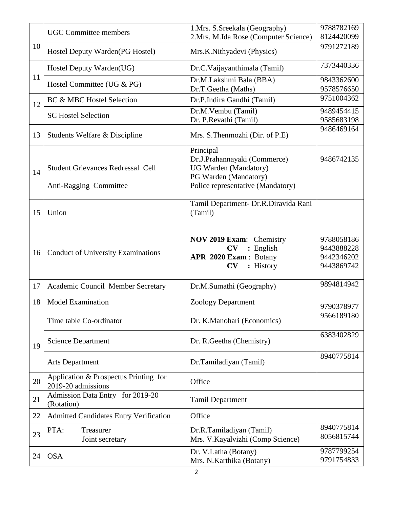|    | <b>UGC</b> Committee members                                       | 1. Mrs. S. Sreekala (Geography)                                                                                                         | 9788782169                                           |
|----|--------------------------------------------------------------------|-----------------------------------------------------------------------------------------------------------------------------------------|------------------------------------------------------|
|    |                                                                    | 2.Mrs. M.Ida Rose (Computer Science)                                                                                                    | 8124420099                                           |
| 10 | Hostel Deputy Warden(PG Hostel)                                    | Mrs.K.Nithyadevi (Physics)                                                                                                              | 9791272189                                           |
|    | Hostel Deputy Warden(UG)                                           | Dr.C.Vaijayanthimala (Tamil)                                                                                                            | 7373440336                                           |
| 11 | Hostel Committee (UG & PG)                                         | Dr.M.Lakshmi Bala (BBA)<br>Dr.T.Geetha (Maths)                                                                                          | 9843362600<br>9578576650                             |
| 12 | <b>BC &amp; MBC Hostel Selection</b>                               | Dr.P.Indira Gandhi (Tamil)                                                                                                              | 9751004362                                           |
|    | <b>SC Hostel Selection</b>                                         | Dr.M.Vembu (Tamil)<br>Dr. P.Revathi (Tamil)                                                                                             | 9489454415<br>9585683198                             |
| 13 | Students Welfare & Discipline                                      | Mrs. S.Thenmozhi (Dir. of P.E)                                                                                                          | 9486469164                                           |
| 14 | <b>Student Grievances Redressal Cell</b><br>Anti-Ragging Committee | Principal<br>Dr.J.Prahannayaki (Commerce)<br><b>UG Warden</b> (Mandatory)<br>PG Warden (Mandatory)<br>Police representative (Mandatory) | 9486742135                                           |
| 15 | Union                                                              | Tamil Department- Dr.R.Diravida Rani<br>(Tamil)                                                                                         |                                                      |
| 16 | <b>Conduct of University Examinations</b>                          | NOV 2019 Exam: Chemistry<br>: English<br>$\mathbf{C}\mathbf{V}$<br>APR 2020 Exam : Botany<br>: History<br>CV                            | 9788058186<br>9443888228<br>9442346202<br>9443869742 |
| 17 | Academic Council Member Secretary                                  | Dr.M.Sumathi (Geography)                                                                                                                | 9894814942                                           |
| 18 | <b>Model Examination</b>                                           | <b>Zoology Department</b>                                                                                                               | 9790378977                                           |
|    | Time table Co-ordinator                                            | Dr. K.Manohari (Economics)                                                                                                              | 9566189180                                           |
| 19 | <b>Science Department</b>                                          | Dr. R. Geetha (Chemistry)                                                                                                               | 6383402829                                           |
|    | <b>Arts Department</b>                                             | Dr.Tamiladiyan (Tamil)                                                                                                                  | 8940775814                                           |
| 20 | Application & Prospectus Printing for<br>2019-20 admissions        | Office                                                                                                                                  |                                                      |
| 21 | Admission Data Entry for 2019-20<br>(Rotation)                     | <b>Tamil Department</b>                                                                                                                 |                                                      |
| 22 | <b>Admitted Candidates Entry Verification</b>                      | Office                                                                                                                                  |                                                      |
| 23 | PTA:<br>Treasurer<br>Joint secretary                               | Dr.R.Tamiladiyan (Tamil)<br>Mrs. V. Kayalvizhi (Comp Science)                                                                           | 8940775814<br>8056815744                             |
| 24 | <b>OSA</b>                                                         | Dr. V.Latha (Botany)<br>Mrs. N.Karthika (Botany)                                                                                        | 9787799254<br>9791754833                             |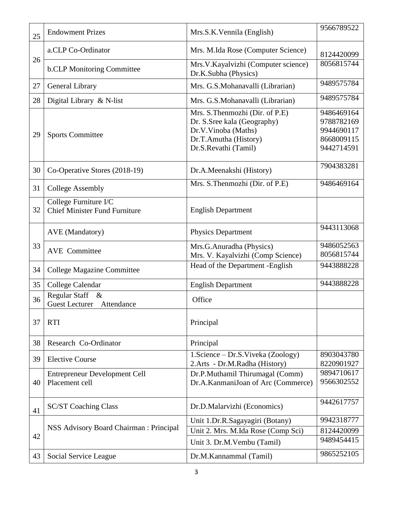| 25 | <b>Endowment Prizes</b>                                             | Mrs.S.K.Vennila (English)                                                                                                              | 9566789522                                                         |
|----|---------------------------------------------------------------------|----------------------------------------------------------------------------------------------------------------------------------------|--------------------------------------------------------------------|
|    | a.CLP Co-Ordinator                                                  | Mrs. M.Ida Rose (Computer Science)                                                                                                     | 8124420099                                                         |
| 26 | <b>b.CLP</b> Monitoring Committee                                   | Mrs.V.Kayalvizhi (Computer science)<br>Dr.K.Subha (Physics)                                                                            | 8056815744                                                         |
| 27 | General Library                                                     | Mrs. G.S.Mohanavalli (Librarian)                                                                                                       | 9489575784                                                         |
| 28 | Digital Library & N-list                                            | Mrs. G.S.Mohanavalli (Librarian)                                                                                                       | 9489575784                                                         |
| 29 | <b>Sports Committee</b>                                             | Mrs. S.Thenmozhi (Dir. of P.E)<br>Dr. S. Sree kala (Geography)<br>Dr.V.Vinoba (Maths)<br>Dr.T.Amutha (History)<br>Dr.S.Revathi (Tamil) | 9486469164<br>9788782169<br>9944690117<br>8668009115<br>9442714591 |
| 30 | Co-Operative Stores (2018-19)                                       | Dr.A.Meenakshi (History)                                                                                                               | 7904383281                                                         |
| 31 | <b>College Assembly</b>                                             | Mrs. S.Thenmozhi (Dir. of P.E)                                                                                                         | 9486469164                                                         |
| 32 | College Furniture I/C<br><b>Chief Minister Fund Furniture</b>       | <b>English Department</b>                                                                                                              |                                                                    |
|    | <b>AVE</b> (Mandatory)                                              | <b>Physics Department</b>                                                                                                              | 9443113068                                                         |
| 33 | <b>AVE</b> Committee                                                | Mrs.G.Anuradha (Physics)<br>Mrs. V. Kayalvizhi (Comp Science)                                                                          | 9486052563<br>8056815744                                           |
| 34 | <b>College Magazine Committee</b>                                   | Head of the Department - English                                                                                                       | 9443888228                                                         |
| 35 | College Calendar                                                    | <b>English Department</b>                                                                                                              | 9443888228                                                         |
| 36 | <b>Regular Staff</b><br>$\&$<br><b>Guest Lecturer</b><br>Attendance | Office                                                                                                                                 |                                                                    |
| 37 | <b>RTI</b>                                                          | Principal                                                                                                                              |                                                                    |
| 38 | Research Co-Ordinator                                               | Principal                                                                                                                              |                                                                    |
| 39 | <b>Elective Course</b>                                              | 1. Science – Dr. S. Viveka (Zoology)<br>2.Arts - Dr.M.Radha (History)                                                                  | 8903043780<br>8220901927                                           |
| 40 | <b>Entrepreneur Development Cell</b><br>Placement cell              | Dr.P.Muthamil Thirumagal (Comm)<br>Dr.A.KanmaniJoan of Arc (Commerce)                                                                  | 9894710617<br>9566302552                                           |
| 41 | <b>SC/ST Coaching Class</b>                                         | Dr.D.Malarvizhi (Economics)                                                                                                            | 9442617757                                                         |
|    | <b>NSS Advisory Board Chairman: Principal</b>                       | Unit 1.Dr.R.Sagayagiri (Botany)                                                                                                        | 9942318777                                                         |
| 42 |                                                                     | Unit 2. Mrs. M.Ida Rose (Comp Sci)                                                                                                     | 8124420099<br>9489454415                                           |
|    |                                                                     | Unit 3. Dr.M. Vembu (Tamil)                                                                                                            |                                                                    |
| 43 | Social Service League                                               | Dr.M.Kannammal (Tamil)                                                                                                                 | 9865252105                                                         |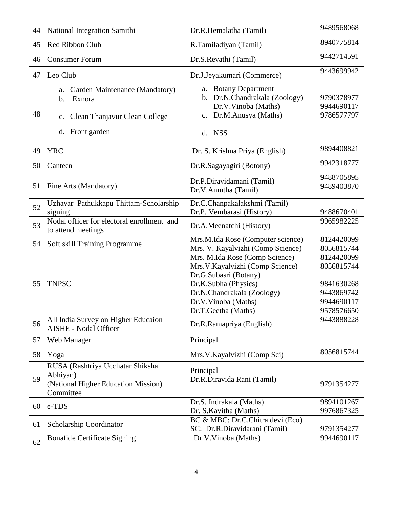| 44 | National Integration Samithi                                                                                              | Dr.R.Hemalatha (Tamil)                                                                                                                                                                         | 9489568068                                                                       |
|----|---------------------------------------------------------------------------------------------------------------------------|------------------------------------------------------------------------------------------------------------------------------------------------------------------------------------------------|----------------------------------------------------------------------------------|
| 45 | Red Ribbon Club                                                                                                           | R.Tamiladiyan (Tamil)                                                                                                                                                                          | 8940775814                                                                       |
| 46 | <b>Consumer Forum</b>                                                                                                     | Dr.S.Revathi (Tamil)                                                                                                                                                                           | 9442714591                                                                       |
| 47 | Leo Club                                                                                                                  | Dr.J.Jeyakumari (Commerce)                                                                                                                                                                     | 9443699942                                                                       |
| 48 | a. Garden Maintenance (Mandatory)<br>$\mathbf b$ .<br>Exnora<br>Clean Thanjavur Clean College<br>c.<br>Front garden<br>d. | a. Botany Department<br>b. Dr.N.Chandrakala (Zoology)<br>Dr.V.Vinoba (Maths)<br>Dr.M.Anusya (Maths)<br>d. NSS                                                                                  | 9790378977<br>9944690117<br>9786577797                                           |
| 49 | <b>YRC</b>                                                                                                                | Dr. S. Krishna Priya (English)                                                                                                                                                                 | 9894408821                                                                       |
| 50 | Canteen                                                                                                                   | Dr.R.Sagayagiri (Botony)                                                                                                                                                                       | 9942318777                                                                       |
| 51 | Fine Arts (Mandatory)                                                                                                     | Dr.P.Diravidamani (Tamil)<br>Dr.V.Amutha (Tamil)                                                                                                                                               | 9488705895<br>9489403870                                                         |
| 52 | Uzhavar Pathukkapu Thittam-Scholarship<br>signing                                                                         | Dr.C.Chanpakalakshmi (Tamil)<br>Dr.P. Vembarasi (History)                                                                                                                                      | 9488670401                                                                       |
| 53 | Nodal officer for electoral enrollment and<br>to attend meetings                                                          | Dr.A.Meenatchi (History)                                                                                                                                                                       | 9965982225                                                                       |
| 54 | Soft skill Training Programme                                                                                             | Mrs.M.Ida Rose (Computer science)<br>Mrs. V. Kayalvizhi (Comp Science)                                                                                                                         | 8124420099<br>8056815744                                                         |
| 55 | <b>TNPSC</b>                                                                                                              | Mrs. M.Ida Rose (Comp Science)<br>Mrs.V.Kayalvizhi (Comp Science)<br>Dr.G.Subasri (Botany)<br>Dr.K.Subha (Physics)<br>Dr.N.Chandrakala (Zoology)<br>Dr.V.Vinoba (Maths)<br>Dr.T.Geetha (Maths) | 8124420099<br>8056815744<br>9841630268<br>9443869742<br>9944690117<br>9578576650 |
| 56 | All India Survey on Higher Educaion<br><b>AISHE - Nodal Officer</b>                                                       | Dr.R.Ramapriya (English)                                                                                                                                                                       | 9443888228                                                                       |
| 57 | Web Manager                                                                                                               | Principal                                                                                                                                                                                      |                                                                                  |
| 58 | Yoga                                                                                                                      | Mrs.V.Kayalvizhi (Comp Sci)                                                                                                                                                                    | 8056815744                                                                       |
| 59 | RUSA (Rashtriya Ucchatar Shiksha<br>Abhiyan)<br>(National Higher Education Mission)<br>Committee                          | Principal<br>Dr.R.Diravida Rani (Tamil)                                                                                                                                                        | 9791354277                                                                       |
| 60 | e-TDS                                                                                                                     | Dr.S. Indrakala (Maths)<br>Dr. S. Kavitha (Maths)                                                                                                                                              | 9894101267<br>9976867325                                                         |
| 61 | Scholarship Coordinator                                                                                                   | BC & MBC: Dr.C.Chitra devi (Eco)<br>SC: Dr.R.Diravidarani (Tamil)                                                                                                                              | 9791354277                                                                       |
| 62 | <b>Bonafide Certificate Signing</b>                                                                                       | Dr.V.Vinoba (Maths)                                                                                                                                                                            | 9944690117                                                                       |